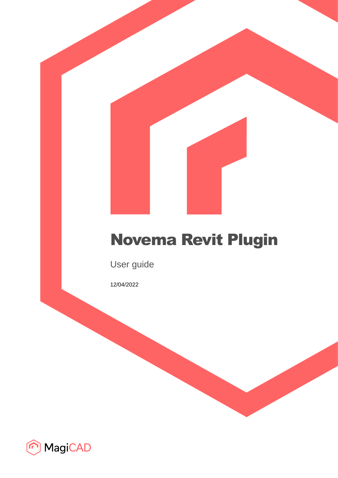# Novema Revit Plugin

User guide

12/04/2022

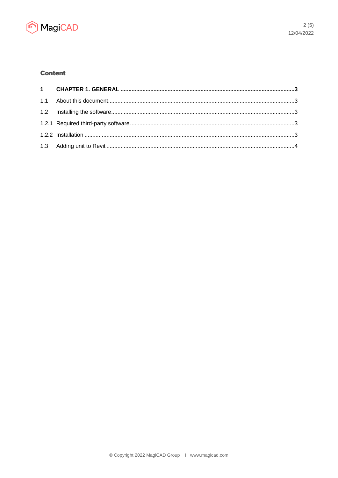

# **Content**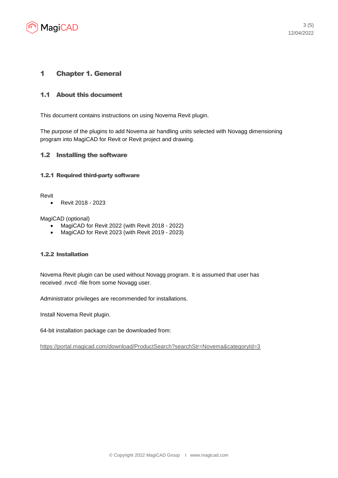

## 1 Chapter 1. General

## 1.1 About this document

This document contains instructions on using Novema Revit plugin.

The purpose of the plugins to add Novema air handling units selected with Novagg dimensioning program into MagiCAD for Revit or Revit project and drawing.

#### 1.2 Installing the software

#### 1.2.1 Required third-party software

Revit

• Revit 2018 - 2023

MagiCAD (optional)

- MagiCAD for Revit 2022 (with Revit 2018 2022)
- MagiCAD for Revit 2023 (with Revit 2019 2023)

#### 1.2.2 Installation

Novema Revit plugin can be used without Novagg program. It is assumed that user has received .nvcd -file from some Novagg user.

Administrator privileges are recommended for installations.

Install Novema Revit plugin.

64-bit installation package can be downloaded from:

<https://portal.magicad.com/download/ProductSearch?searchStr=Novema&categoryId=3>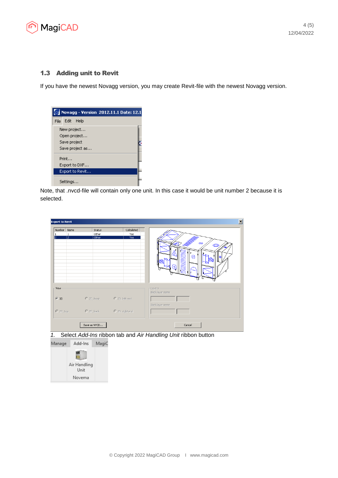

### 1.3 Adding unit to Revit

If you have the newest Novagg version, you may create Revit-file with the newest Novagg version.



Note, that .nvcd-file will contain only one unit. In this case it would be unit number 2 because it is selected.

| <b>Export to Revit</b> |                |                            |                  | $\mathbf{x}$                 |
|------------------------|----------------|----------------------------|------------------|------------------------------|
| Number                 | Name           | Status                     | Calculated       |                              |
| 1                      | 1              | Other                      | Yes              |                              |
| $\overline{2}$         | $\overline{2}$ | Other                      | Yes <sup>-</sup> | $\mathbf{\infty}$<br>e       |
| View<br>$G$ 3D         |                | C 2D, front C 2D, left end |                  | -Layers-<br>Block layer name |
| $C$ 2D, top            |                | C 2D, back C 2D, right end |                  | Block layer name             |
|                        |                | Save as NVCD               |                  | Cancel                       |

*1.* Select *Add-Ins* ribbon tab and *Air Handling Unit* ribbon button